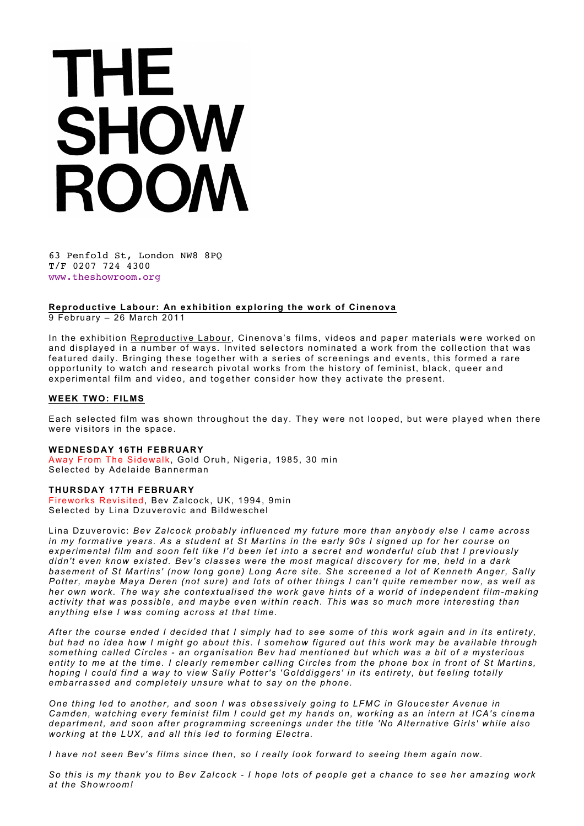# THE SHOW ROOM

63 Penfold St, London NW8 8PQ T/F 0207 724 4300 www.theshowroom.org

## **Reproductive Labour: An exhibition exploring the work of Cinenova**

9 February – 26 March 2011

In the exhibition Reproductive Labour, Cinenova's films, videos and paper materials were worked on and displayed in a number of ways. Invited selectors nominated a work from the collection that was featured daily. Bringing these together with a series of screenings and events, this formed a rare opportunity to watch and research pivotal works from the history of feminist, black, queer and experimental film and video, and together consider how they activate the present.

#### **WEEK TWO: FILMS**

Each selected film was shown throughout the day. They were not looped, but were played when there were visitors in the space.

### **WEDNESDAY 16TH FEBRUARY**

Away From The Sidewalk, Gold Oruh, Nigeria, 1985, 30 min Selected by Adelaide Bannerman

#### **THURSDAY 17TH FEBRUARY**

Fireworks Revisited, Bev Zalcock, UK, 1994, 9min Selected by Lina Dzuverovic and Bildweschel

Lina Dzuverovic: *Bev Zalcock probably influenced my future more than anybody else I came across in my formative years. As a student at St Martins in the early 90s I signed up for her course on experimental film and soon felt like I'd been let into a secret and wonderful club that I previously didn't even know existed. Bev's classes were the most magical discovery for me, held in a dark basement of St Martins' (now long gone) Long Acre site. She screened a lot of Kenneth Anger, Sally Potter, maybe Maya Deren (not sure) and lots of other things I can't quite remember now, as well as her own work. The way she contextualised the work gave hints of a world of independent film-making activity that was possible, and maybe even within reach. This was so much more interesting than anything else I was coming across at that time.*

*After the course ended I decided that I simply had to see some of this work again and in its entirety, but had no idea how I might go about this. I somehow figured out this work may be available through something called Circles - an organisation Bev had mentioned but which was a bit of a mysterious entity to me at the time. I clearly remember calling Circles from the phone box in front of St Martins, hoping I could find a way to view Sally Potter's 'Golddiggers' in its entirety, but feeling totally embarrassed and completely unsure what to say on the phone.*

*One thing led to another, and soon I was obsessively going to LFMC in Gloucester Avenue in Camden, watching every feminist film I could get my hands on, working as an intern at ICA's cinema department, and soon after programming screenings under the title 'No Alternative Girls' while also working at the LUX, and all this led to forming Electra.*

*I have not seen Bev's films since then, so I really look forward to seeing them again now.*

*So this is my thank you to Bev Zalcock - I hope lots of people get a chance to see her amazing work at the Showroom!*